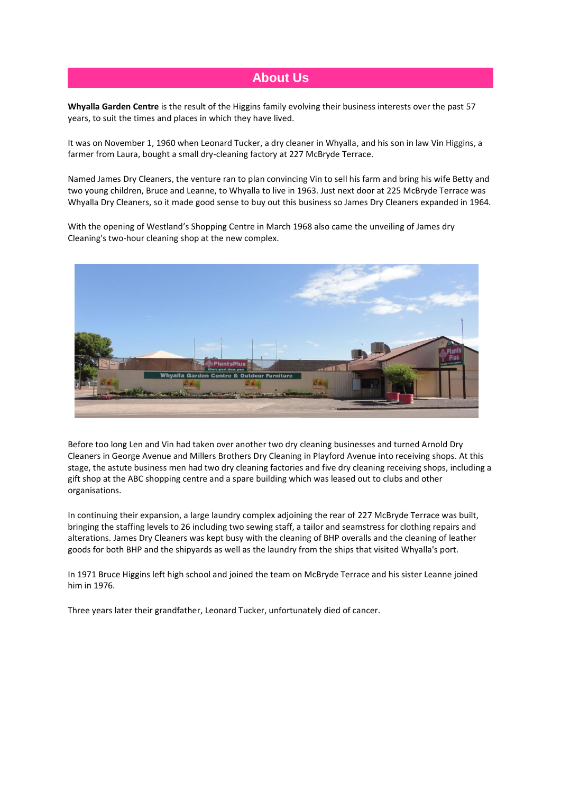## **About Us**

**Whyalla Garden Centre** is the result of the Higgins family evolving their business interests over the past 57 years, to suit the times and places in which they have lived.

It was on November 1, 1960 when Leonard Tucker, a dry cleaner in Whyalla, and his son in law Vin Higgins, a farmer from Laura, bought a small dry-cleaning factory at 227 McBryde Terrace.

Named James Dry Cleaners, the venture ran to plan convincing Vin to sell his farm and bring his wife Betty and two young children, Bruce and Leanne, to Whyalla to live in 1963. Just next door at 225 McBryde Terrace was Whyalla Dry Cleaners, so it made good sense to buy out this business so James Dry Cleaners expanded in 1964.

With the opening of Westland's Shopping Centre in March 1968 also came the unveiling of James dry Cleaning's two-hour cleaning shop at the new complex.



Before too long Len and Vin had taken over another two dry cleaning businesses and turned Arnold Dry Cleaners in George Avenue and Millers Brothers Dry Cleaning in Playford Avenue into receiving shops. At this stage, the astute business men had two dry cleaning factories and five dry cleaning receiving shops, including a gift shop at the ABC shopping centre and a spare building which was leased out to clubs and other organisations.

In continuing their expansion, a large laundry complex adjoining the rear of 227 McBryde Terrace was built, bringing the staffing levels to 26 including two sewing staff, a tailor and seamstress for clothing repairs and alterations. James Dry Cleaners was kept busy with the cleaning of BHP overalls and the cleaning of leather goods for both BHP and the shipyards as well as the laundry from the ships that visited Whyalla's port.

In 1971 Bruce Higgins left high school and joined the team on McBryde Terrace and his sister Leanne joined him in 1976.

Three years later their grandfather, Leonard Tucker, unfortunately died of cancer.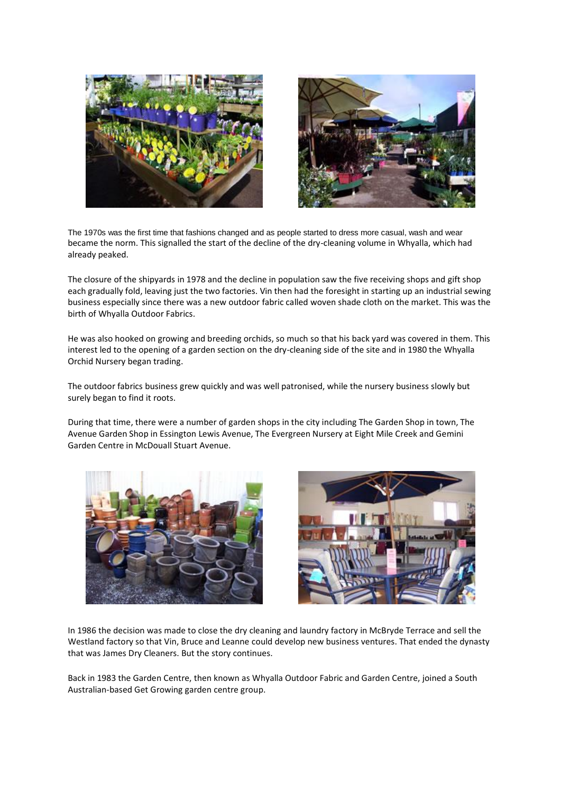



The 1970s was the first time that fashions changed and as people started to dress more casual, wash and wear became the norm. This signalled the start of the decline of the dry-cleaning volume in Whyalla, which had already peaked.

The closure of the shipyards in 1978 and the decline in population saw the five receiving shops and gift shop each gradually fold, leaving just the two factories. Vin then had the foresight in starting up an industrial sewing business especially since there was a new outdoor fabric called woven shade cloth on the market. This was the birth of Whyalla Outdoor Fabrics.

He was also hooked on growing and breeding orchids, so much so that his back yard was covered in them. This interest led to the opening of a garden section on the dry-cleaning side of the site and in 1980 the Whyalla Orchid Nursery began trading.

The outdoor fabrics business grew quickly and was well patronised, while the nursery business slowly but surely began to find it roots.

During that time, there were a number of garden shops in the city including The Garden Shop in town, The Avenue Garden Shop in Essington Lewis Avenue, The Evergreen Nursery at Eight Mile Creek and Gemini Garden Centre in McDouall Stuart Avenue.





In 1986 the decision was made to close the dry cleaning and laundry factory in McBryde Terrace and sell the Westland factory so that Vin, Bruce and Leanne could develop new business ventures. That ended the dynasty that was James Dry Cleaners. But the story continues.

Back in 1983 the Garden Centre, then known as Whyalla Outdoor Fabric and Garden Centre, joined a South Australian-based Get Growing garden centre group.